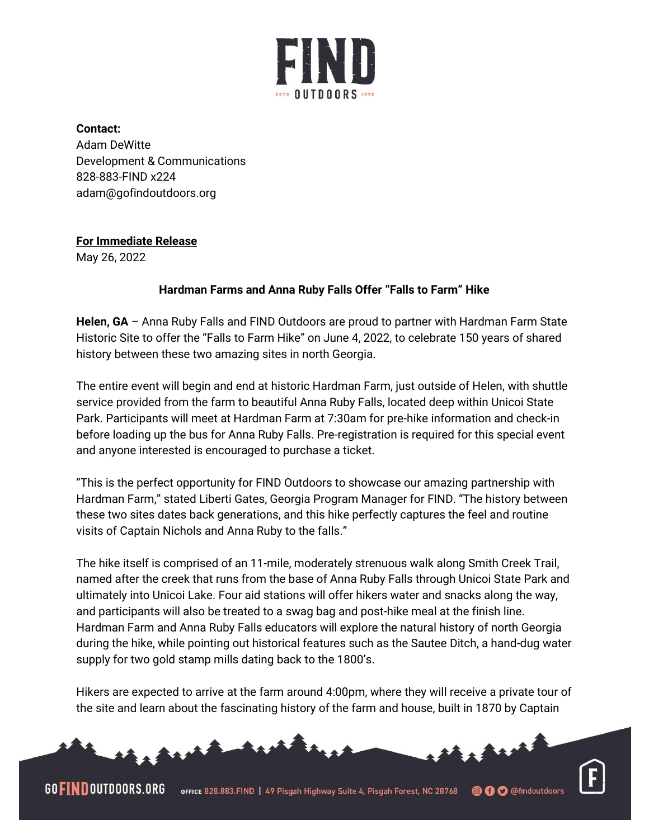

**Contact:** Adam DeWitte Development & Communications 828-883-FIND x224 adam@gofindoutdoors.org

## **For Immediate Release**

May 26, 2022

## **Hardman Farms and Anna Ruby Falls Offer "Falls to Farm" Hike**

**Helen, GA** – Anna Ruby Falls and FIND Outdoors are proud to partner with Hardman Farm State Historic Site to offer the "Falls to Farm Hike" on June 4, 2022, to celebrate 150 years of shared history between these two amazing sites in north Georgia.

The entire event will begin and end at historic Hardman Farm, just outside of Helen, with shuttle service provided from the farm to beautiful Anna Ruby Falls, located deep within Unicoi State Park. Participants will meet at Hardman Farm at 7:30am for pre-hike information and check-in before loading up the bus for Anna Ruby Falls. Pre-registration is required for this special event and anyone interested is encouraged to purchase a ticket.

"This is the perfect opportunity for FIND Outdoors to showcase our amazing partnership with Hardman Farm," stated Liberti Gates, Georgia Program Manager for FIND. "The history between these two sites dates back generations, and this hike perfectly captures the feel and routine visits of Captain Nichols and Anna Ruby to the falls."

The hike itself is comprised of an 11-mile, moderately strenuous walk along Smith Creek Trail, named after the creek that runs from the base of Anna Ruby Falls through Unicoi State Park and ultimately into Unicoi Lake. Four aid stations will offer hikers water and snacks along the way, and participants will also be treated to a swag bag and post-hike meal at the finish line. Hardman Farm and Anna Ruby Falls educators will explore the natural history of north Georgia during the hike, while pointing out historical features such as the Sautee Ditch, a hand-dug water supply for two gold stamp mills dating back to the 1800's.

Hikers are expected to arrive at the farm around 4:00pm, where they will receive a private tour of the site and learn about the fascinating history of the farm and house, built in 1870 by Captain